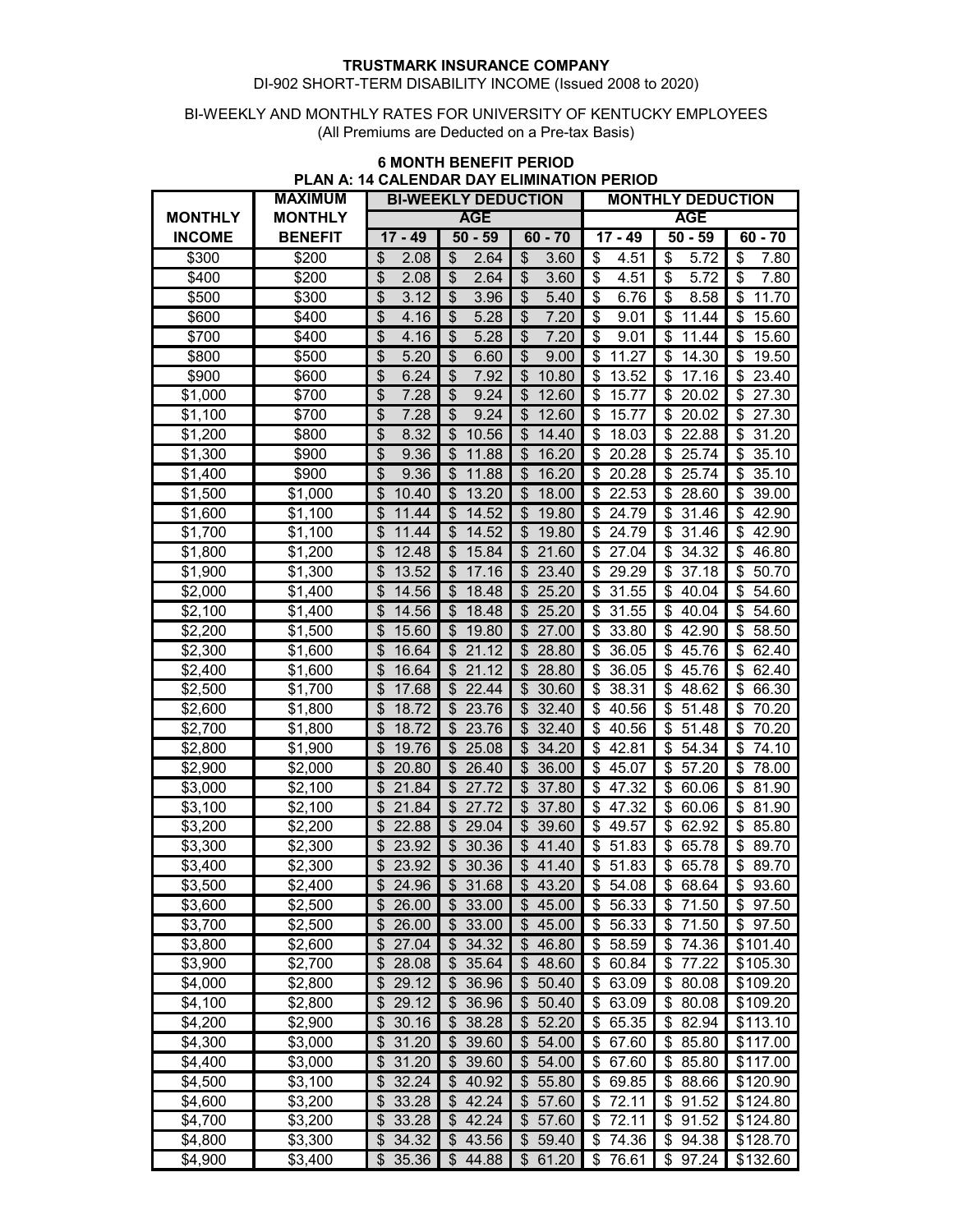DI-902 SHORT-TERM DISABILITY INCOME (Issued 2008 to 2020)

#### BI-WEEKLY AND MONTHLY RATES FOR UNIVERSITY OF KENTUCKY EMPLOYEES (All Premiums are Deducted on a Pre-tax Basis)

| PLAN A: 14 CALENDAR DAY ELIMINATION PERIOD |                |                                   |                                   |                                    |                          |                         |             |  |
|--------------------------------------------|----------------|-----------------------------------|-----------------------------------|------------------------------------|--------------------------|-------------------------|-------------|--|
|                                            | <b>MAXIMUM</b> | <b>BI-WEEKLY DEDUCTION</b>        |                                   |                                    | <b>MONTHLY DEDUCTION</b> |                         |             |  |
| <b>MONTHLY</b><br><b>MONTHLY</b>           |                | $17 - 49$                         | <b>AGE</b><br>$50 - 59$           | $60 - 70$                          | $17 - 49$                | <b>AGE</b><br>$50 - 59$ | $60 - 70$   |  |
| <b>INCOME</b>                              | <b>BENEFIT</b> |                                   |                                   |                                    |                          |                         |             |  |
| \$300                                      | \$200          | \$<br>2.08                        | \$<br>2.64                        | $\boldsymbol{\mathsf{S}}$<br>3.60  | \$<br>4.51               | \$<br>5.72              | \$<br>7.80  |  |
| \$400                                      | \$200          | \$<br>2.08                        | \$<br>2.64                        | \$<br>3.60                         | \$<br>4.51               | \$<br>5.72              | \$<br>7.80  |  |
| \$500                                      | \$300          | $\overline{\mathcal{S}}$<br>3.12  | \$<br>3.96                        | \$<br>5.40                         | \$<br>6.76               | \$<br>8.58              | \$<br>11.70 |  |
| \$600                                      | \$400          | \$<br>4.16                        | \$<br>5.28                        | \$<br>7.20                         | \$<br>9.01               | \$<br>11.44             | \$<br>15.60 |  |
| \$700                                      | \$400          | \$<br>4.16                        | \$<br>5.28                        | \$<br>7.20                         | \$<br>9.01               | \$<br>11.44             | \$<br>15.60 |  |
| \$800                                      | \$500          | \$<br>5.20                        | \$<br>6.60                        | \$<br>9.00                         | \$<br>11.27              | \$<br>14.30             | \$<br>19.50 |  |
| \$900                                      | \$600          | \$<br>6.24                        | \$<br>7.92                        | \$<br>10.80                        | 13.52<br>\$              | \$<br>17.16             | \$<br>23.40 |  |
| \$1,000                                    | \$700          | $\overline{\mathcal{S}}$<br>7.28  | \$<br>9.24                        | \$<br>12.60                        | \$<br>15.77              | \$<br>20.02             | \$<br>27.30 |  |
| \$1,100                                    | \$700          | \$<br>7.28                        | \$<br>9.24                        | \$<br>12.60                        | \$<br>15.77              | 20.02<br>\$             | \$<br>27.30 |  |
| \$1,200                                    | \$800          | \$<br>8.32                        | \$<br>10.56                       | \$<br>14.40                        | \$<br>18.03              | 22.88<br>\$             | \$<br>31.20 |  |
| \$1,300                                    | \$900          | \$<br>9.36                        | \$<br>11.88                       | $\mathfrak{s}$<br>16.20            | \$<br>20.28              | 25.74<br>\$             | \$<br>35.10 |  |
| \$1,400                                    | \$900          | $\overline{\mathcal{S}}$<br>9.36  | \$<br>11.88                       | \$<br>16.20                        | \$<br>20.28              | \$<br>25.74             | 35.10<br>\$ |  |
| \$1,500                                    | \$1,000        | \$<br>10.40                       | \$<br>13.20                       | $\boldsymbol{\mathsf{S}}$<br>18.00 | \$<br>22.53              | 28.60<br>\$             | \$<br>39.00 |  |
| \$1,600                                    | \$1,100        | \$<br>11.44                       | \$<br>14.52                       | \$<br>19.80                        | \$<br>24.79              | \$<br>31.46             | \$<br>42.90 |  |
| \$1,700                                    | \$1,100        | \$<br>11.44                       | \$<br>14.52                       | \$<br>19.80                        | \$<br>24.79              | \$<br>31.46             | \$<br>42.90 |  |
| \$1,800                                    | \$1,200        | \$<br>12.48                       | \$<br>15.84                       | \$<br>21.60                        | \$<br>27.04              | \$<br>34.32             | \$<br>46.80 |  |
| \$1,900                                    | \$1,300        | \$<br>13.52                       | \$<br>17.16                       | \$<br>23.40                        | \$<br>29.29              | \$<br>37.18             | \$<br>50.70 |  |
| \$2,000                                    | \$1,400        | \$<br>14.56                       | \$<br>18.48                       | \$<br>25.20                        | \$<br>31.55              | \$<br>40.04             | \$<br>54.60 |  |
| \$2,100                                    | \$1,400        | \$<br>14.56                       | 18.48<br>\$                       | \$<br>25.20                        | \$<br>31.55              | 40.04<br>\$             | \$<br>54.60 |  |
| \$2,200                                    | \$1,500        | \$<br>15.60                       | \$<br>19.80                       | \$<br>27.00                        | \$<br>33.80              | 42.90<br>\$             | \$<br>58.50 |  |
| \$2,300                                    | \$1,600        | \$<br>16.64                       | \$<br>21.12                       | $\mathfrak{s}$<br>28.80            | \$<br>36.05              | \$<br>45.76             | \$<br>62.40 |  |
| \$2,400                                    | \$1,600        | $\overline{\mathcal{S}}$<br>16.64 | \$<br>21.12                       | \$<br>28.80                        | \$<br>36.05              | \$<br>45.76             | \$<br>62.40 |  |
| \$2,500                                    | \$1,700        | \$<br>17.68                       | \$<br>22.44                       | \$<br>30.60                        | \$<br>38.31              | \$<br>48.62             | \$<br>66.30 |  |
| \$2,600                                    | \$1,800        | \$<br>18.72                       | \$<br>23.76                       | \$<br>32.40                        | \$<br>40.56              | \$<br>51.48             | \$<br>70.20 |  |
| \$2,700                                    | \$1,800        | \$<br>18.72                       | 23.76<br>\$                       | \$<br>32.40                        | \$<br>40.56              | \$<br>51.48             | \$<br>70.20 |  |
| \$2,800                                    | \$1,900        | \$<br>19.76                       | \$<br>25.08                       | \$<br>34.20                        | \$<br>42.81              | \$<br>54.34             | \$<br>74.10 |  |
| \$2,900                                    | \$2,000        | \$<br>20.80                       | \$<br>26.40                       | \$<br>36.00                        | \$<br>45.07              | \$<br>57.20             | \$<br>78.00 |  |
| \$3,000                                    | \$2,100        | \$<br>21.84                       | \$<br>27.72                       | \$<br>37.80                        | \$<br>47.32              | \$<br>60.06             | \$<br>81.90 |  |
| \$3,100                                    | \$2,100        | \$<br>21.84                       | \$<br>27.72                       | \$<br>37.80                        | \$<br>47.32              | 60.06<br>\$             | 81.90<br>\$ |  |
| \$3,200                                    | \$2,200        | 22.88<br>\$                       | \$<br>29.04                       | \$<br>39.60                        | \$<br>49.57              | 62.92<br>\$             | \$<br>85.80 |  |
| \$3,300                                    | \$2,300        | \$<br>23.92                       | \$<br>30.36                       | \$41.40                            | \$<br>51.83              | \$<br>65.78             | \$<br>89.70 |  |
| \$3,400                                    | \$2,300        | 23.92<br>\$                       | $\overline{\mathcal{S}}$<br>30.36 | $\overline{\$}$ 41.40              | \$<br>$\overline{5}1.83$ | \$<br>65.78             | \$<br>89.70 |  |
| \$3,500                                    | \$2,400        | \$24.96                           | \$31.68                           | \$43.20                            | \$54.08                  | \$68.64                 | \$93.60     |  |
| \$3,600                                    | \$2,500        | \$26.00                           | \$<br>33.00                       | \$45.00                            | $\mathfrak{S}$<br>56.33  | 71.50<br>\$             | \$97.50     |  |
| \$3,700                                    | \$2,500        | 26.00<br>\$                       | 33.00<br>\$                       | 45.00<br>\$                        | \$<br>56.33              | 71.50<br>\$             | 97.50<br>\$ |  |
| \$3,800                                    | \$2,600        | 27.04<br>\$                       | 34.32<br>\$                       | \$46.80                            | \$<br>58.59              | 74.36<br>\$             | \$101.40    |  |
| \$3,900                                    | \$2,700        | \$<br>28.08                       | \$<br>35.64                       | \$48.60                            | \$<br>60.84              | 77.22<br>S              | \$105.30    |  |
| \$4,000                                    | \$2,800        | \$<br>29.12                       | \$<br>36.96                       | \$50.40                            | 63.09<br>\$              | 80.08<br>\$             | \$109.20    |  |
| \$4,100                                    | \$2,800        | 29.12<br>\$                       | 36.96<br>\$                       | \$50.40                            | 63.09<br>\$              | 80.08<br>\$             | \$109.20    |  |
| \$4,200                                    | \$2,900        | 30.16<br>\$                       | 38.28<br>\$                       | \$52.20                            | 65.35<br>\$              | 82.94<br>S              | \$113.10    |  |
| \$4,300                                    | \$3,000        | \$<br>31.20                       | \$<br>39.60                       | \$54.00                            | \$<br>67.60              | 85.80<br>\$             | \$117.00    |  |
| \$4,400                                    | \$3,000        | \$<br>31.20                       | 39.60<br>\$                       | \$54.00                            | \$<br>67.60              | \$<br>85.80             | \$117.00    |  |
| \$4,500                                    | \$3,100        | 32.24<br>\$                       | 40.92<br>\$                       | \$55.80                            | \$<br>69.85              | \$<br>88.66             | \$120.90    |  |
| \$4,600                                    | \$3,200        | 33.28<br>\$                       | 42.24<br>\$                       | \$57.60                            | 72.11<br>\$              | 91.52<br>\$             | \$124.80    |  |
| \$4,700                                    | \$3,200        | 33.28<br>\$                       | 42.24<br>\$                       | 57.60<br>\$                        | 72.11<br>\$              | 91.52<br>\$             | \$124.80    |  |
| \$4,800                                    | \$3,300        | \$<br>34.32                       | \$<br>43.56                       | \$59.40                            | \$<br>74.36              | 94.38<br>\$             | \$128.70    |  |
| \$4,900                                    | \$3,400        | \$<br>35.36                       | \$44.88                           | \$61.20                            | \$<br>76.61              | S<br>97.24              | \$132.60    |  |

## **6 MONTH BENEFIT PERIOD PLAN A: 14 CALENDAR DAY ELIMINATION PERIOD**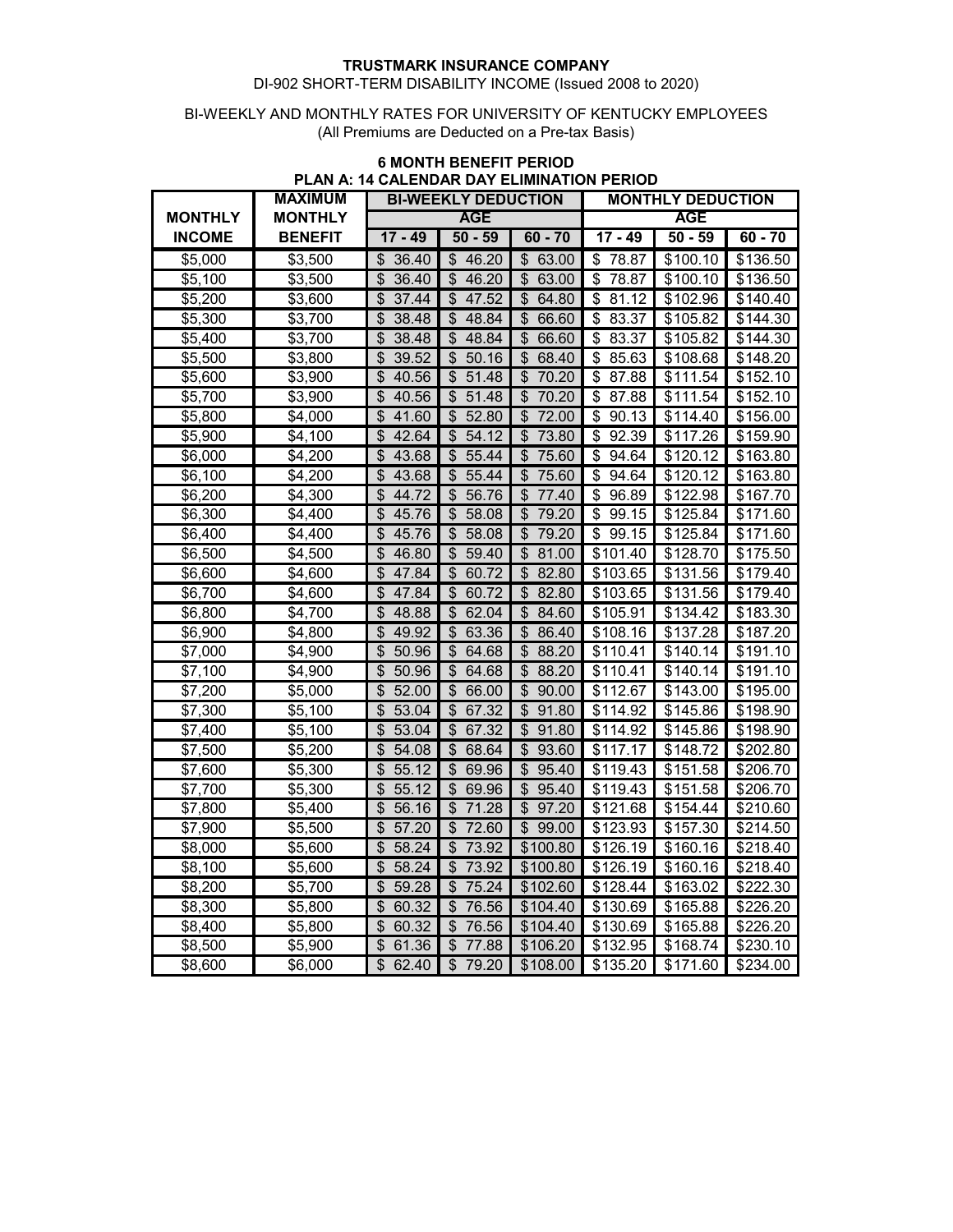DI-902 SHORT-TERM DISABILITY INCOME (Issued 2008 to 2020)

#### BI-WEEKLY AND MONTHLY RATES FOR UNIVERSITY OF KENTUCKY EMPLOYEES (All Premiums are Deducted on a Pre-tax Basis)

| PLAN A: 14 CALENDAR DAY ELIMINATION PERIOD |                     |                                   |                                       |                                    |                                              |                      |                  |  |  |
|--------------------------------------------|---------------------|-----------------------------------|---------------------------------------|------------------------------------|----------------------------------------------|----------------------|------------------|--|--|
|                                            | <b>MAXIMUM</b>      | <b>BI-WEEKLY DEDUCTION</b>        |                                       |                                    | <b>MONTHLY DEDUCTION</b>                     |                      |                  |  |  |
| <b>MONTHLY</b>                             | <b>MONTHLY</b>      | <b>AGE</b>                        |                                       |                                    | <b>AGE</b>                                   |                      |                  |  |  |
| <b>INCOME</b>                              | <b>BENEFIT</b>      | $17 - 49$                         | $50 - 59$                             | $60 - 70$                          | $17 - 49$                                    | $50 - 59$            | $60 - 70$        |  |  |
| \$5,000                                    | \$3,500             | 36.40<br>\$                       | 46.20<br>\$                           | \$63.00                            | 78.87<br>\$                                  | \$100.10             | \$136.50         |  |  |
| \$5,100                                    | \$3,500             | 36.40<br>\$                       | \$<br>46.20                           | \$63.00                            | \$<br>78.87                                  | \$100.10             | \$136.50         |  |  |
| \$5,200                                    | \$3,600             | $\overline{\mathcal{S}}$<br>37.44 | $\overline{\mathcal{S}}$<br>47.52     | \$64.80                            | $\overline{\mathbb{S}}$<br>81.12             | \$102.96             | \$140.40         |  |  |
| \$5,300                                    | \$3,700             | \$<br>38.48                       | 48.84<br>$\boldsymbol{\mathsf{S}}$    | $\overline{\mathbb{S}}$<br>66.60   | \$<br>83.37                                  | \$105.82             | \$144.30         |  |  |
| \$5,400                                    | \$3,700             | \$<br>38.48                       | $\boldsymbol{\hat{\varphi}}$<br>48.84 | $\frac{1}{2}$<br>66.60             | \$<br>83.37                                  | \$105.82             | \$144.30         |  |  |
| \$5,500                                    | \$3,800             | \$<br>39.52                       | \$<br>50.16                           | \$<br>68.40                        | \$<br>85.63                                  | \$108.68             | \$148.20         |  |  |
| \$5,600                                    | \$3,900             | \$<br>40.56                       | \$<br>51.48                           | $\overline{\mathcal{S}}$<br>70.20  | \$<br>87.88                                  | \$111.54             | \$152.10         |  |  |
| \$5,700                                    | \$3,900             | \$<br>40.56                       | \$<br>51.48                           | $\sqrt{$}70.20$                    | \$<br>87.88                                  | \$111.54             | \$152.10         |  |  |
| \$5,800                                    | \$4,000             | \$<br>41.60                       | $\overline{\mathcal{S}}$<br>52.80     | $\mathfrak{S}$<br>72.00            | \$<br>90.13                                  | \$114.40             | \$156.00         |  |  |
| \$5,900                                    | \$4,100             | $\overline{\mathcal{S}}$<br>42.64 | $\overline{\$}$<br>54.12              | $\overline{\mathcal{S}}$<br>73.80  | $\overline{\mathbf{s}}$<br>$\frac{1}{92.39}$ | \$117.26             | \$159.90         |  |  |
| \$6,000                                    | \$4,200             | \$<br>43.68                       | \$<br>55.44                           | \$75.60                            | \$<br>94.64                                  | \$120.12             | \$163.80         |  |  |
| \$6,100                                    | \$4,200             | \$<br>43.68                       | \$<br>55.44                           | $\boldsymbol{\mathsf{S}}$<br>75.60 | \$<br>94.64                                  | \$120.12             | \$163.80         |  |  |
| \$6,200                                    | \$4,300             | \$<br>44.72                       | \$<br>56.76                           | \$<br>77.40                        | \$<br>96.89                                  | \$122.98             | \$167.70         |  |  |
| \$6,300                                    | \$4,400             | \$<br>45.76                       | \$<br>58.08                           | $\mathfrak{S}$<br>79.20            | \$<br>99.15                                  | \$125.84             | \$171.60         |  |  |
| \$6,400                                    | \$4,400             | $\overline{\mathcal{S}}$<br>45.76 | $\overline{\mathcal{S}}$<br>58.08     | $\overline{$}$ 79.20               | \$99.15                                      | \$125.84             | \$171.60         |  |  |
| \$6,500                                    | \$4,500             | \$<br>46.80                       | $\overline{\mathcal{S}}$<br>59.40     | \$81.00                            | \$101.40                                     | \$128.70             | \$175.50         |  |  |
| \$6,600                                    | \$4,600             | \$<br>47.84                       | \$<br>60.72                           | \$82.80                            | \$103.65                                     | \$131.56             | \$179.40         |  |  |
| \$6,700                                    | \$4,600             | \$<br>47.84                       | $\overline{\mathcal{S}}$<br>60.72     | \$82.80                            | \$103.65                                     | \$131.56             | \$179.40         |  |  |
| \$6,800                                    | \$4,700             | \$<br>48.88                       | $\mathfrak{S}$<br>62.04               | \$84.60                            | \$105.91                                     | \$134.42             | \$183.30         |  |  |
| \$6,900                                    | \$4,800             | \$<br>49.92                       | \$<br>63.36                           | \$86.40                            | \$108.16                                     | \$137.28             | \$187.20         |  |  |
| \$7,000                                    | \$4,900             | $\overline{\mathcal{S}}$<br>50.96 | $\overline{\theta}$<br>64.68          | $\sqrt{2}$<br>88.20                | \$110.41                                     | \$140.14             | \$191.10         |  |  |
| $\overline{$7,100}$                        | \$4,900             | \$<br>50.96                       | $\overline{\mathcal{S}}$<br>64.68     | $\overline{\mathcal{S}}$<br>88.20  | \$110.41                                     | \$140.14             | \$191.10         |  |  |
| \$7,200                                    | \$5,000             | $\overline{\mathcal{S}}$<br>52.00 | $\overline{\mathcal{S}}$<br>66.00     | $\overline{\mathcal{S}}$<br>90.00  | \$112.67                                     | \$143.00             | \$195.00         |  |  |
| \$7,300                                    | \$5,100             | \$<br>53.04                       | \$<br>67.32                           | \$91.80                            | \$114.92                                     | \$145.86             | \$198.90         |  |  |
| \$7,400                                    | \$5,100             | \$<br>53.04                       | 67.32<br>\$                           | $\overline{\mathcal{S}}$<br>91.80  | \$114.92                                     | \$145.86             | \$198.90         |  |  |
| \$7,500                                    | $\overline{$5,200}$ | 54.08<br>\$                       | $\overline{\mathcal{S}}$<br>68.64     | \$93.60                            | \$117.17                                     | \$148.72             | \$202.80         |  |  |
| \$7,600                                    | \$5,300             | \$<br>55.12                       | $\overline{\mathcal{S}}$<br>69.96     | 95.40                              | \$119.43                                     | \$151.58             | \$206.70         |  |  |
| \$7,700                                    | \$5,300             | \$<br>55.12                       | $\overline{\mathcal{S}}$<br>69.96     | 95.40                              | \$119.43                                     | \$151.58             | \$206.70         |  |  |
| \$7,800                                    | \$5,400             | $\overline{\mathcal{S}}$<br>56.16 | $\overline{\mathcal{S}}$<br>71.28     | 97.20                              | \$121.68                                     | \$154.44             | \$210.60         |  |  |
| \$7,900                                    | \$5,500             | \$<br>57.20                       | $\overline{\mathcal{S}}$<br>72.60     | \$99.00                            | \$123.93                                     | \$157.30             | \$214.50         |  |  |
| \$8,000                                    | \$5,600             | 58.24<br>\$                       | \$<br>73.92                           | \$100.80                           | \$126.19                                     | \$160.16             | \$218.40         |  |  |
| \$8,100                                    | \$5,600             | \$<br>58.24                       | \$<br>73.92                           | \$100.80                           | \$126.19                                     | \$160.16             | \$218.40         |  |  |
| \$8,200                                    | \$5,700             | $\overline{\mathcal{S}}$<br>59.28 | $\overline{\mathcal{S}}$<br>75.24     | \$102.60                           | $\overline{$}128.44$                         | $\overline{$}163.02$ | $\sqrt{$222.30}$ |  |  |
| \$8,300                                    | \$5,800             | \$<br>60.32                       | $\overline{\mathcal{S}}$<br>76.56     | \$104.40                           | \$130.69                                     | \$165.88             | \$226.20         |  |  |
| \$8,400                                    | \$5,800             | \$<br>60.32                       | $\overline{\mathcal{S}}$<br>76.56     | \$104.40                           | \$130.69                                     | \$165.88             | \$226.20         |  |  |
| \$8,500                                    | \$5,900             | 61.36<br>\$                       | 77.88<br>\$                           | \$106.20                           | \$132.95                                     | \$168.74             | \$230.10         |  |  |
| \$8,600                                    | \$6,000             | \$<br>62.40                       | $\mathfrak{S}$<br>79.20               | \$108.00                           | \$135.20                                     | \$171.60             | \$234.00         |  |  |

# **6 MONTH BENEFIT PERIOD**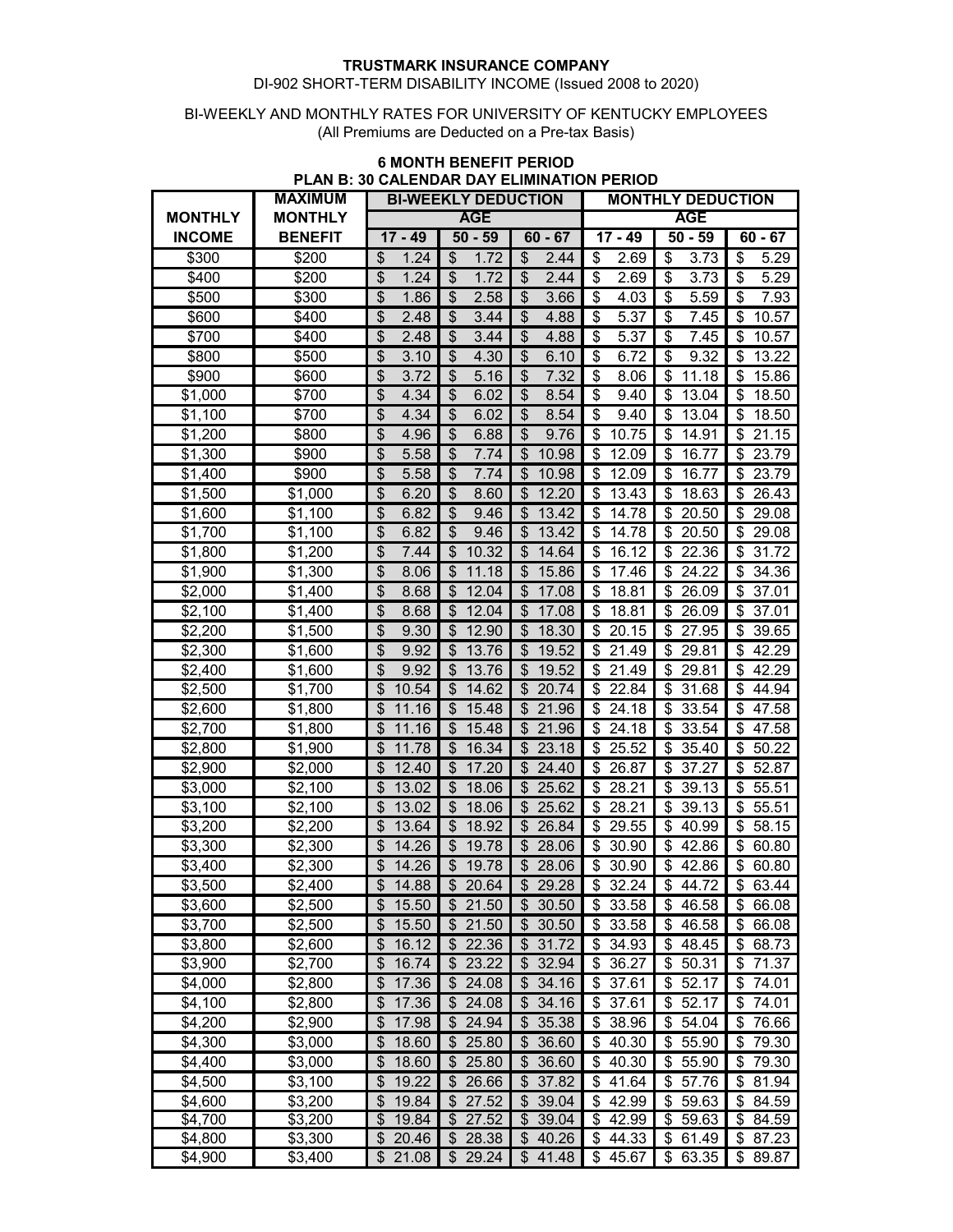DI-902 SHORT-TERM DISABILITY INCOME (Issued 2008 to 2020)

#### BI-WEEKLY AND MONTHLY RATES FOR UNIVERSITY OF KENTUCKY EMPLOYEES (All Premiums are Deducted on a Pre-tax Basis)

|                | PLAN B: 30 CALENDAR DAY ELIMINATION PERIOD<br><b>MAXIMUM</b><br><b>BI-WEEKLY DEDUCTION</b> |             |                                    |                                   | <b>MONTHLY DEDUCTION</b>         |              |             |  |
|----------------|--------------------------------------------------------------------------------------------|-------------|------------------------------------|-----------------------------------|----------------------------------|--------------|-------------|--|
| <b>MONTHLY</b> | <b>MONTHLY</b>                                                                             | <b>AGE</b>  |                                    |                                   | <b>AGE</b>                       |              |             |  |
| <b>INCOME</b>  | <b>BENEFIT</b>                                                                             | $17 - 49$   | $50 - 59$                          | $60 - 67$                         | $17 - 49$                        | $50 - 59$    | $60 - 67$   |  |
| \$300          | \$200                                                                                      | 1.24<br>\$  | \$<br>1.72                         | 2.44<br>\$                        | 2.69<br>\$                       | \$<br>3.73   | \$<br>5.29  |  |
| \$400          | \$200                                                                                      | \$<br>1.24  | \$<br>1.72                         | \$<br>2.44                        | \$<br>2.69                       | \$<br>3.73   | \$<br>5.29  |  |
| \$500          | \$300                                                                                      | \$<br>1.86  | $\overline{\mathcal{S}}$<br>2.58   | \$<br>3.66                        | \$<br>4.03                       | \$<br>5.59   | \$<br>7.93  |  |
| \$600          | \$400                                                                                      | \$<br>2.48  | \$<br>3.44                         | \$<br>4.88                        | \$<br>5.37                       | \$<br>7.45   | \$<br>10.57 |  |
| \$700          | \$400                                                                                      | \$<br>2.48  | $\overline{\mathcal{S}}$<br>3.44   | $\overline{\mathcal{S}}$<br>4.88  | \$<br>5.37                       | \$<br>7.45   | \$<br>10.57 |  |
| \$800          | \$500                                                                                      | \$<br>3.10  | \$<br>4.30                         | \$<br>6.10                        | \$<br>6.72                       | \$<br>9.32   | \$<br>13.22 |  |
| \$900          | \$600                                                                                      | \$<br>3.72  | \$<br>5.16                         | \$<br>7.32                        | \$<br>8.06                       | \$<br>11.18  | \$<br>15.86 |  |
| \$1,000        | \$700                                                                                      | \$<br>4.34  | \$<br>6.02                         | \$<br>8.54                        | \$<br>9.40                       | \$<br>13.04  | \$<br>18.50 |  |
| \$1,100        | \$700                                                                                      | \$<br>4.34  | \$<br>6.02                         | \$<br>8.54                        | \$<br>9.40                       | \$<br>13.04  | 18.50<br>\$ |  |
| \$1,200        | \$800                                                                                      | \$<br>4.96  | \$<br>6.88                         | \$<br>9.76                        | 10.75<br>\$                      | 14.91<br>\$  | \$<br>21.15 |  |
| \$1,300        | \$900                                                                                      | \$<br>5.58  | \$<br>7.74                         | \$<br>10.98                       | 12.09<br>\$                      | \$<br>16.77  | 23.79<br>\$ |  |
| \$1,400        | \$900                                                                                      | \$<br>5.58  | \$<br>7.74                         | \$<br>10.98                       | \$<br>12.09                      | \$<br>16.77  | 23.79<br>\$ |  |
| \$1,500        | \$1,000                                                                                    | \$<br>6.20  | $\overline{\mathcal{S}}$<br>8.60   | $\overline{\mathcal{S}}$<br>12.20 | $\overline{\mathbf{S}}$<br>13.43 | \$<br>18.63  | \$<br>26.43 |  |
| \$1,600        | \$1,100                                                                                    | 6.82<br>\$  | \$<br>9.46                         | \$<br>13.42                       | \$<br>14.78                      | \$<br>20.50  | \$<br>29.08 |  |
| \$1,700        | \$1,100                                                                                    | \$<br>6.82  | \$<br>9.46                         | \$<br>13.42                       | \$<br>14.78                      | \$<br>20.50  | \$<br>29.08 |  |
| \$1,800        | \$1,200                                                                                    | \$<br>7.44  | \$<br>10.32                        | \$<br>14.64                       | \$<br>16.12                      | \$<br>22.36  | 31.72<br>\$ |  |
| \$1,900        | \$1,300                                                                                    | \$<br>8.06  | \$<br>11.18                        | 15.86<br>\$                       | 17.46<br>\$                      | \$<br>24.22  | \$<br>34.36 |  |
| \$2,000        | \$1,400                                                                                    | \$<br>8.68  | \$<br>12.04                        | \$<br>17.08                       | \$<br>18.81                      | \$<br>26.09  | \$<br>37.01 |  |
| \$2,100        | \$1,400                                                                                    | \$<br>8.68  | \$<br>12.04                        | \$<br>17.08                       | \$<br>18.81                      | \$<br>26.09  | \$<br>37.01 |  |
| \$2,200        | \$1,500                                                                                    | \$<br>9.30  | \$<br>12.90                        | \$<br>18.30                       | \$<br>20.15                      | 27.95<br>\$  | 39.65<br>\$ |  |
| \$2,300        | \$1,600                                                                                    | \$<br>9.92  | $\boldsymbol{\mathsf{S}}$<br>13.76 | \$<br>19.52                       | 21.49<br>\$                      | 29.81<br>\$  | \$<br>42.29 |  |
| \$2,400        | \$1,600                                                                                    | \$<br>9.92  | \$<br>13.76                        | \$<br>19.52                       | 21.49<br>\$                      | 29.81<br>\$  | 42.29<br>\$ |  |
| \$2,500        | \$1,700                                                                                    | \$<br>10.54 | \$<br>14.62                        | \$<br>20.74                       | \$<br>22.84                      | 31.68<br>\$  | \$<br>44.94 |  |
| \$2,600        | \$1,800                                                                                    | 11.16<br>\$ | \$<br>15.48                        | \$<br>21.96                       | \$<br>$\overline{2}4.18$         | \$<br>33.54  | \$<br>47.58 |  |
| \$2,700        | \$1,800                                                                                    | \$<br>11.16 | \$<br>15.48                        | \$<br>21.96                       | \$<br>24.18                      | \$<br>33.54  | 47.58<br>\$ |  |
| \$2,800        | \$1,900                                                                                    | \$<br>11.78 | \$<br>16.34                        | \$<br>23.18                       | \$<br>25.52                      | 35.40<br>\$  | \$<br>50.22 |  |
| \$2,900        | \$2,000                                                                                    | \$<br>12.40 | \$<br>17.20                        | 24.40<br>\$                       | \$<br>26.87                      | \$<br>37.27  | \$<br>52.87 |  |
| \$3,000        | \$2,100                                                                                    | \$<br>13.02 | \$<br>18.06                        | \$<br>25.62                       | \$<br>28.21                      | 39.13<br>\$  | \$<br>55.51 |  |
| \$3,100        | \$2,100                                                                                    | \$<br>13.02 | \$<br>18.06                        | \$<br>25.62                       | \$<br>28.21                      | 39.13<br>\$  | \$<br>55.51 |  |
| \$3,200        | \$2,200                                                                                    | 13.64<br>\$ | $\boldsymbol{\mathsf{S}}$<br>18.92 | $\mathsf{\$}$<br>26.84            | \$<br>29.55                      | 40.99<br>\$  | \$<br>58.15 |  |
| \$3,300        | \$2,300                                                                                    | \$<br>14.26 | \$<br>19.78                        | \$28.06                           | 30.90<br>\$                      | 42.86<br>\$  | 60.80<br>\$ |  |
| \$3,400        | \$2,300                                                                                    | \$<br>14.26 | \$<br>19.78                        | \$<br>28.06                       | \$<br>30.90                      | 42.86<br>\$  | 60.80<br>\$ |  |
| \$3,500        | \$2,400                                                                                    | 14.88<br>\$ | \$20.64                            | \$29.28                           | 32.24<br>\$                      | \$44.72      | 63.44<br>\$ |  |
| \$3,600        | \$2,500                                                                                    | 15.50<br>\$ | 21.50<br>\$                        | $\overline{\$}$ 30.50             | \$<br>33.58                      | 46.58<br>\$  | \$<br>66.08 |  |
| \$3,700        | \$2,500                                                                                    | 15.50<br>\$ | 21.50<br>\$                        | \$30.50                           | 33.58<br>\$                      | 46.58<br>\$  | 66.08<br>\$ |  |
| \$3,800        | \$2,600                                                                                    | 16.12<br>\$ | \$<br>22.36                        | \$31.72                           | 34.93<br>\$                      | 48.45<br>\$  | \$<br>68.73 |  |
| \$3,900        | \$2,700                                                                                    | \$<br>16.74 | \$<br>23.22                        | \$32.94                           | 36.27<br>S                       | 50.31<br>\$  | 71.37<br>\$ |  |
| \$4,000        | \$2,800                                                                                    | 17.36<br>\$ | \$<br>24.08                        | \$34.16                           | 37.61<br>S                       | 52.17<br>\$  | 74.01<br>\$ |  |
| \$4,100        | \$2,800                                                                                    | 17.36<br>\$ | \$<br>24.08                        | \$34.16                           | \$<br>37.61                      | 52.17<br>S   | 74.01<br>S  |  |
| \$4,200        | \$2,900                                                                                    | 17.98<br>\$ | \$<br>24.94                        | \$35.38                           | 38.96<br>\$                      | 54.04<br>S   | 76.66<br>\$ |  |
| \$4,300        | \$3,000                                                                                    | 18.60<br>\$ | \$25.80                            | \$36.60                           | 40.30<br>\$                      | 55.90<br>\$  | 79.30<br>\$ |  |
| \$4,400        | \$3,000                                                                                    | 18.60<br>\$ | \$<br>25.80                        | \$36.60                           | 40.30<br>\$                      | 55.90<br>\$  | 79.30<br>\$ |  |
| \$4,500        | \$3,100                                                                                    | 19.22<br>\$ | \$<br>26.66                        | \$37.82                           | \$<br>41.64                      | 57.76<br>\$  | 81.94<br>\$ |  |
| \$4,600        | \$3,200                                                                                    | 19.84<br>\$ | 27.52<br>\$                        | \$39.04                           | 42.99<br>\$                      | 59.63<br>\$  | 84.59<br>\$ |  |
| \$4,700        | \$3,200                                                                                    | 19.84<br>\$ | 27.52<br>\$                        | 39.04<br>\$                       | 42.99<br>\$                      | 59.63<br>\$  | 84.59<br>\$ |  |
| \$4,800        | \$3,300                                                                                    | \$20.46     | \$28.38                            | \$40.26                           | \$44.33                          | 61.49<br>\$  | \$<br>87.23 |  |
| \$4,900        | \$3,400                                                                                    | \$21.08     | \$29.24                            | \$41.48                           | \$45.67                          | 63.35<br>\$. | \$89.87     |  |

### **6 MONTH BENEFIT PERIOD PLAN B: 30 CALENDAR DAY ELIMINATION PERIOD**